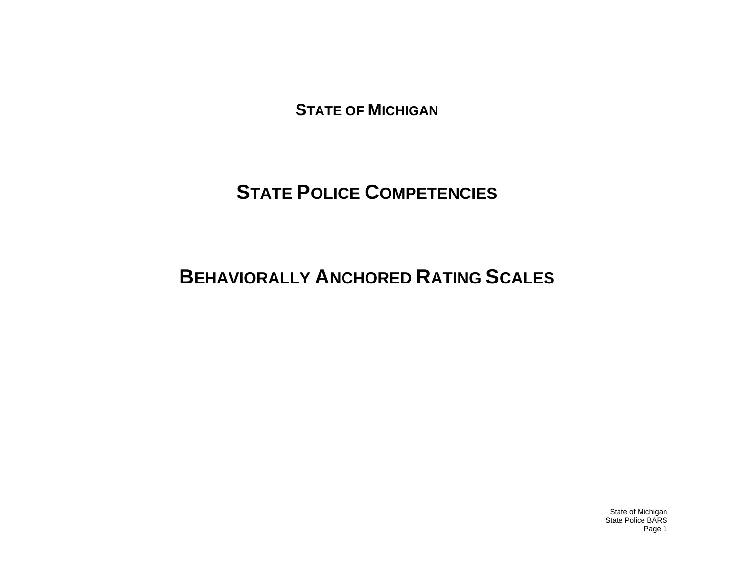**STATE OF MICHIGAN**

# **STATE POLICE COMPETENCIES**

# **BEHAVIORALLY ANCHORED RATING SCALES**

State of Michigan State Police BARS Page 1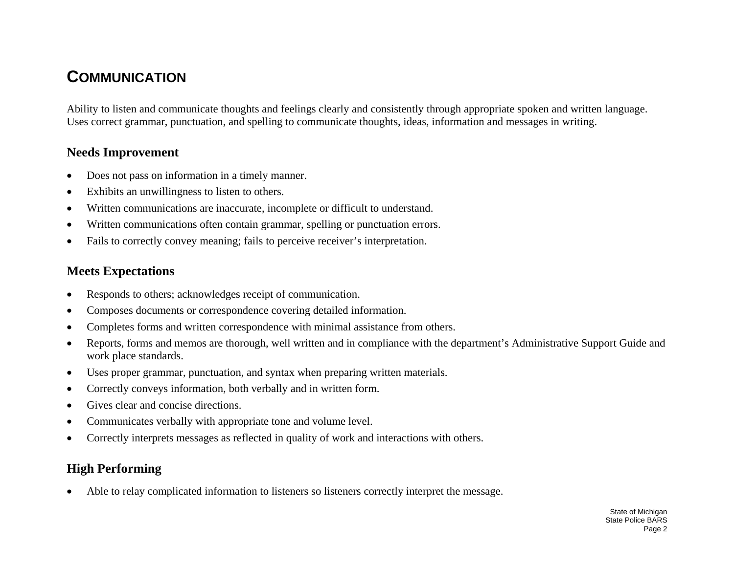### **COMMUNICATION**

Ability to listen and communicate thoughts and feelings clearly and consistently through appropriate spoken and written language. Uses correct grammar, punctuation, and spelling to communicate thoughts, ideas, information and messages in writing.

#### **Needs Improvement**

- •Does not pass on information in a timely manner.
- •Exhibits an unwillingness to listen to others.
- •Written communications are inaccurate, incomplete or difficult to understand.
- •Written communications often contain grammar, spelling or punctuation errors.
- •Fails to correctly convey meaning; fails to perceive receiver's interpretation.

#### **Meets Expectations**

- •Responds to others; acknowledges receipt of communication.
- •Composes documents or correspondence covering detailed information.
- •Completes forms and written correspondence with minimal assistance from others.
- • Reports, forms and memos are thorough, well written and in compliance with the department's Administrative Support Guide and work place standards.
- •Uses proper grammar, punctuation, and syntax when preparing written materials.
- •Correctly conveys information, both verbally and in written form.
- •Gives clear and concise directions.
- •Communicates verbally with appropriate tone and volume level.
- •Correctly interprets messages as reflected in quality of work and interactions with others.

#### **High Performing**

 $\bullet$ Able to relay complicated information to listeners so listeners correctly interpret the message.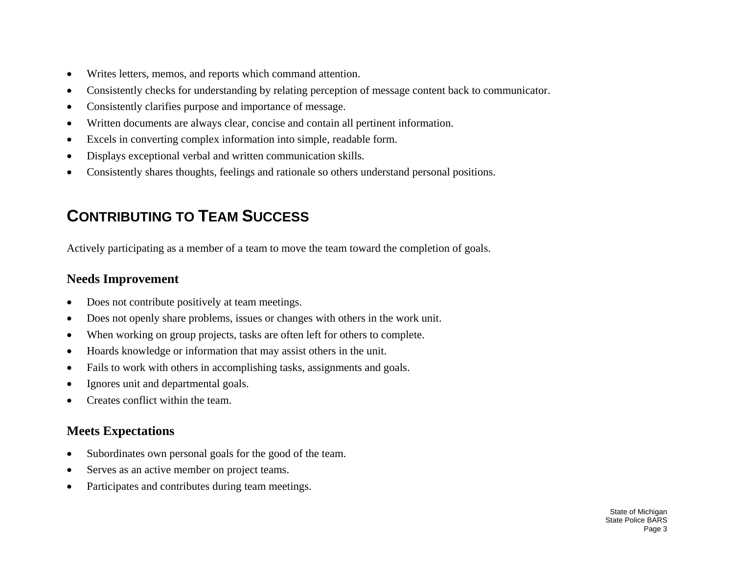- •Writes letters, memos, and reports which command attention.
- •Consistently checks for understanding by relating perception of message content back to communicator.
- •Consistently clarifies purpose and importance of message.
- •Written documents are always clear, concise and contain all pertinent information.
- •Excels in converting complex information into simple, readable form.
- •Displays exceptional verbal and written communication skills.
- •Consistently shares thoughts, feelings and rationale so others understand personal positions.

# **CONTRIBUTING TO TEAM SUCCESS**

Actively participating as a member of a team to move the team toward the completion of goals.

#### **Needs Improvement**

- •Does not contribute positively at team meetings.
- •Does not openly share problems, issues or changes with others in the work unit.
- •When working on group projects, tasks are often left for others to complete.
- •Hoards knowledge or information that may assist others in the unit.
- •Fails to work with others in accomplishing tasks, assignments and goals.
- •Ignores unit and departmental goals.
- •Creates conflict within the team.

#### **Meets Expectations**

- •Subordinates own personal goals for the good of the team.
- •Serves as an active member on project teams.
- •Participates and contributes during team meetings.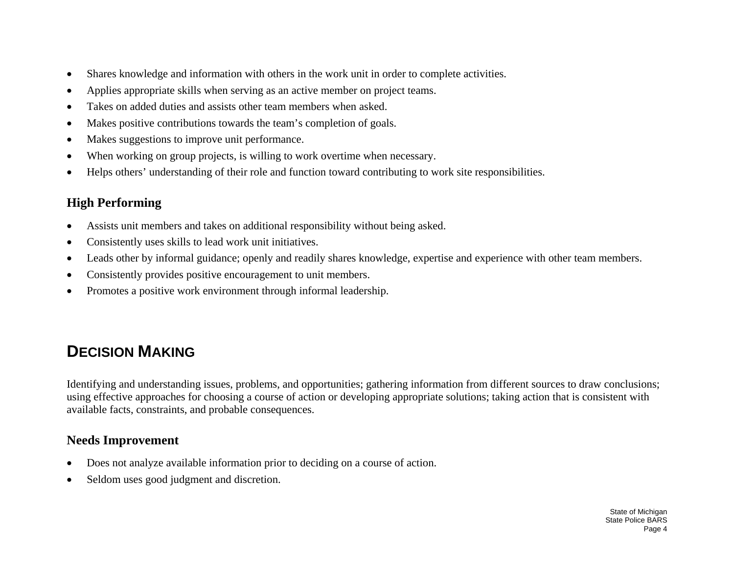- •Shares knowledge and information with others in the work unit in order to complete activities.
- •Applies appropriate skills when serving as an active member on project teams.
- •Takes on added duties and assists other team members when asked.
- •Makes positive contributions towards the team's completion of goals.
- •Makes suggestions to improve unit performance.
- •When working on group projects, is willing to work overtime when necessary.
- •Helps others' understanding of their role and function toward contributing to work site responsibilities.

### **High Performing**

- •Assists unit members and takes on additional responsibility without being asked.
- •Consistently uses skills to lead work unit initiatives.
- •Leads other by informal guidance; openly and readily shares knowledge, expertise and experience with other team members.
- •Consistently provides positive encouragement to unit members.
- •Promotes a positive work environment through informal leadership.

# **DECISION MAKING**

Identifying and understanding issues, problems, and opportunities; gathering information from different sources to draw conclusions; using effective approaches for choosing a course of action or developing appropriate solutions; taking action that is consistent with available facts, constraints, and probable consequences.

#### **Needs Improvement**

- •Does not analyze available information prior to deciding on a course of action.
- •Seldom uses good judgment and discretion.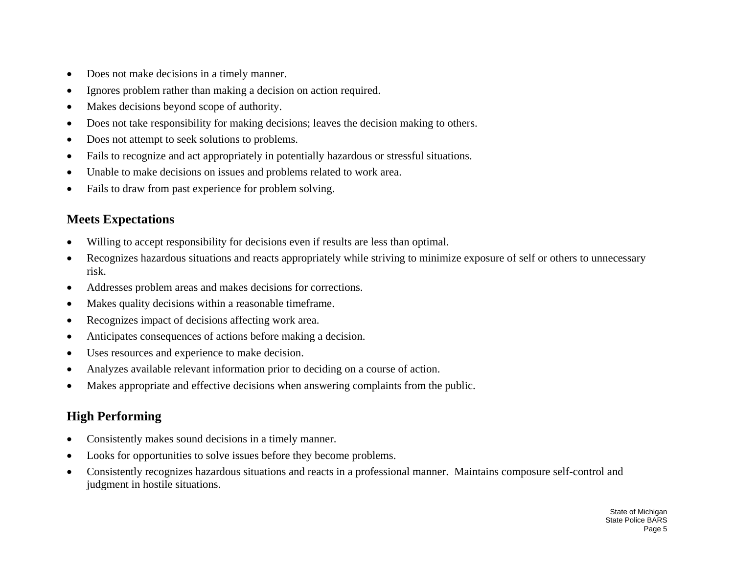- •Does not make decisions in a timely manner.
- •Ignores problem rather than making a decision on action required.
- •Makes decisions beyond scope of authority.
- •Does not take responsibility for making decisions; leaves the decision making to others.
- •Does not attempt to seek solutions to problems.
- •Fails to recognize and act appropriately in potentially hazardous or stressful situations.
- •Unable to make decisions on issues and problems related to work area.
- $\bullet$ Fails to draw from past experience for problem solving.

#### **Meets Expectations**

- •Willing to accept responsibility for decisions even if results are less than optimal.
- • Recognizes hazardous situations and reacts appropriately while striving to minimize exposure of self or others to unnecessary risk.
- •Addresses problem areas and makes decisions for corrections.
- •Makes quality decisions within a reasonable timeframe.
- •Recognizes impact of decisions affecting work area.
- •Anticipates consequences of actions before making a decision.
- •Uses resources and experience to make decision.
- •Analyzes available relevant information prior to deciding on a course of action.
- •Makes appropriate and effective decisions when answering complaints from the public.

- •Consistently makes sound decisions in a timely manner.
- •Looks for opportunities to solve issues before they become problems.
- • Consistently recognizes hazardous situations and reacts in a professional manner. Maintains composure self-control and judgment in hostile situations.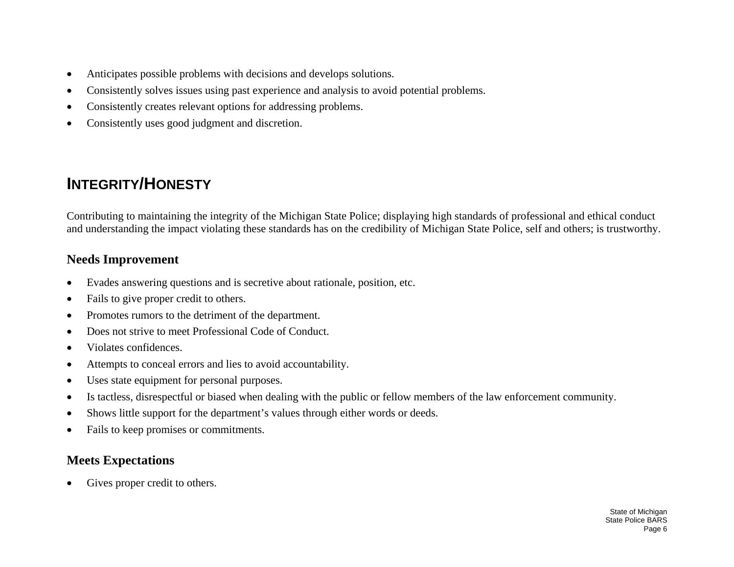- •Anticipates possible problems with decisions and develops solutions.
- •Consistently solves issues using past experience and analysis to avoid potential problems.
- •Consistently creates relevant options for addressing problems.
- •Consistently uses good judgment and discretion.

## **INTEGRITY/HONESTY**

Contributing to maintaining the integrity of the Michigan State Police; displaying high standards of professional and ethical conduct and understanding the impact violating these standards has on the credibility of Michigan State Police, self and others; is trustworthy.

#### **Needs Improvement**

- •Evades answering questions and is secretive about rationale, position, etc.
- •Fails to give proper credit to others.
- •Promotes rumors to the detriment of the department.
- •Does not strive to meet Professional Code of Conduct.
- •Violates confidences.
- •Attempts to conceal errors and lies to avoid accountability.
- •Uses state equipment for personal purposes.
- •Is tactless, disrespectful or biased when dealing with the public or fellow members of the law enforcement community.
- •Shows little support for the department's values through either words or deeds.
- •Fails to keep promises or commitments.

#### **Meets Expectations**

•Gives proper credit to others.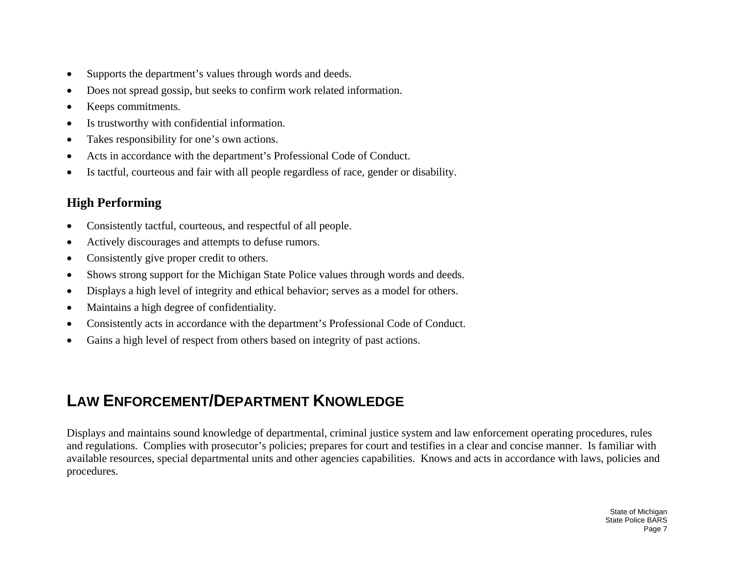- •Supports the department's values through words and deeds.
- •Does not spread gossip, but seeks to confirm work related information.
- •Keeps commitments.
- •Is trustworthy with confidential information.
- •Takes responsibility for one's own actions.
- •Acts in accordance with the department's Professional Code of Conduct.
- •Is tactful, courteous and fair with all people regardless of race, gender or disability.

### **High Performing**

- •Consistently tactful, courteous, and respectful of all people.
- •Actively discourages and attempts to defuse rumors.
- •Consistently give proper credit to others.
- •Shows strong support for the Michigan State Police values through words and deeds.
- •Displays a high level of integrity and ethical behavior; serves as a model for others.
- •Maintains a high degree of confidentiality.
- •Consistently acts in accordance with the department's Professional Code of Conduct.
- $\bullet$ Gains a high level of respect from others based on integrity of past actions.

# **LAW ENFORCEMENT/DEPARTMENT KNOWLEDGE**

Displays and maintains sound knowledge of departmental, criminal justice system and law enforcement operating procedures, rules and regulations. Complies with prosecutor's policies; prepares for court and testifies in a clear and concise manner. Is familiar with available resources, special departmental units and other agencies capabilities. Knows and acts in accordance with laws, policies and procedures.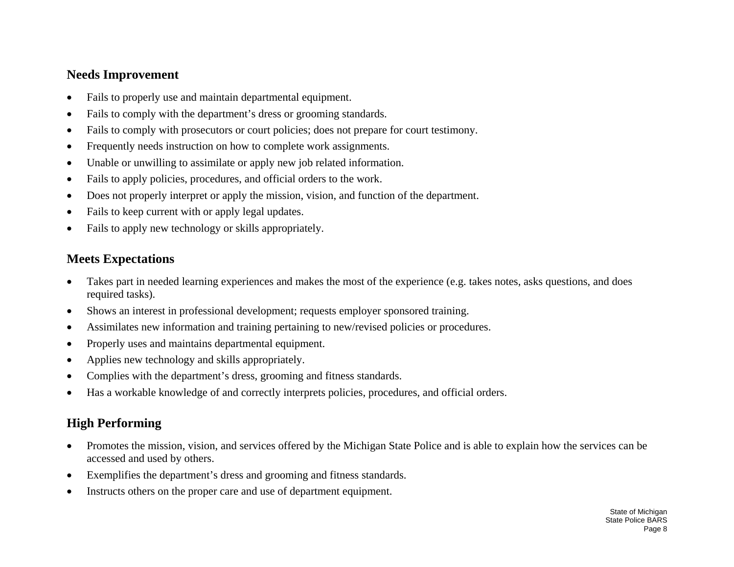#### **Needs Improvement**

- •Fails to properly use and maintain departmental equipment.
- •Fails to comply with the department's dress or grooming standards.
- •Fails to comply with prosecutors or court policies; does not prepare for court testimony.
- •Frequently needs instruction on how to complete work assignments.
- •Unable or unwilling to assimilate or apply new job related information.
- •Fails to apply policies, procedures, and official orders to the work.
- •Does not properly interpret or apply the mission, vision, and function of the department.
- •Fails to keep current with or apply legal updates.
- •Fails to apply new technology or skills appropriately.

#### **Meets Expectations**

- • Takes part in needed learning experiences and makes the most of the experience (e.g. takes notes, asks questions, and does required tasks).
- •Shows an interest in professional development; requests employer sponsored training.
- •Assimilates new information and training pertaining to new/revised policies or procedures.
- •Properly uses and maintains departmental equipment.
- •Applies new technology and skills appropriately.
- •Complies with the department's dress, grooming and fitness standards.
- •Has a workable knowledge of and correctly interprets policies, procedures, and official orders.

- $\bullet$  Promotes the mission, vision, and services offered by the Michigan State Police and is able to explain how the services can be accessed and used by others.
- •Exemplifies the department's dress and grooming and fitness standards.
- •Instructs others on the proper care and use of department equipment.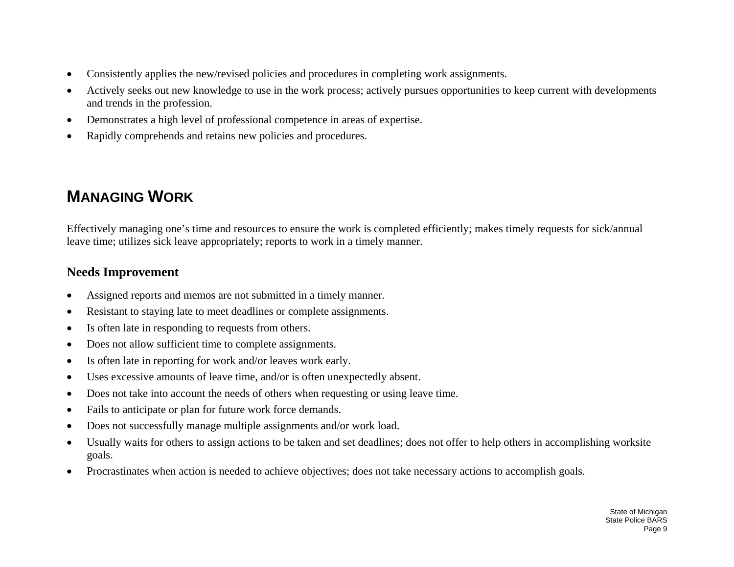- •Consistently applies the new/revised policies and procedures in completing work assignments.
- • Actively seeks out new knowledge to use in the work process; actively pursues opportunities to keep current with developments and trends in the profession.
- •Demonstrates a high level of professional competence in areas of expertise.
- •Rapidly comprehends and retains new policies and procedures.

## **MANAGING WORK**

Effectively managing one's time and resources to ensure the work is completed efficiently; makes timely requests for sick/annual leave time; utilizes sick leave appropriately; reports to work in a timely manner.

#### **Needs Improvement**

- •Assigned reports and memos are not submitted in a timely manner.
- •Resistant to staying late to meet deadlines or complete assignments.
- •Is often late in responding to requests from others.
- •Does not allow sufficient time to complete assignments.
- •Is often late in reporting for work and/or leaves work early.
- •Uses excessive amounts of leave time, and/or is often unexpectedly absent.
- •Does not take into account the needs of others when requesting or using leave time.
- •Fails to anticipate or plan for future work force demands.
- •Does not successfully manage multiple assignments and/or work load.
- • Usually waits for others to assign actions to be taken and set deadlines; does not offer to help others in accomplishing worksite goals.
- •Procrastinates when action is needed to achieve objectives; does not take necessary actions to accomplish goals.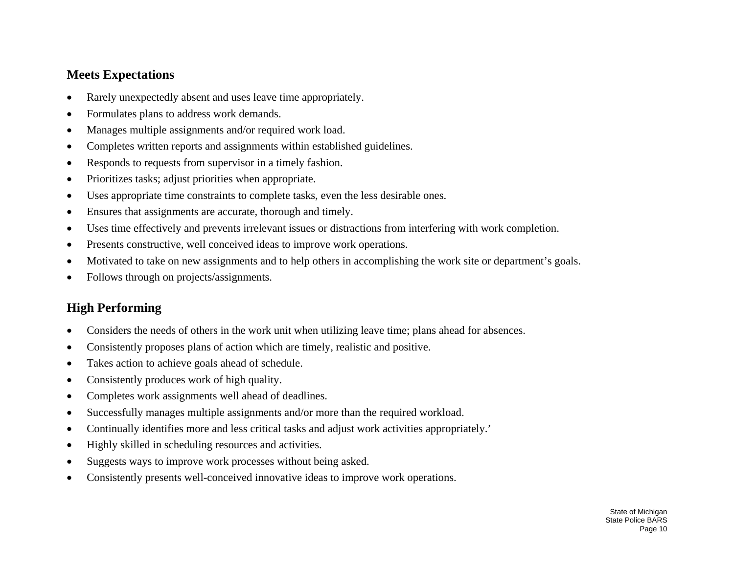#### **Meets Expectations**

- •Rarely unexpectedly absent and uses leave time appropriately.
- •Formulates plans to address work demands.
- •Manages multiple assignments and/or required work load.
- •Completes written reports and assignments within established guidelines.
- •Responds to requests from supervisor in a timely fashion.
- •Prioritizes tasks; adjust priorities when appropriate.
- •Uses appropriate time constraints to complete tasks, even the less desirable ones.
- •Ensures that assignments are accurate, thorough and timely.
- •Uses time effectively and prevents irrelevant issues or distractions from interfering with work completion.
- •Presents constructive, well conceived ideas to improve work operations.
- •Motivated to take on new assignments and to help others in accomplishing the work site or department's goals.
- •Follows through on projects/assignments.

- •Considers the needs of others in the work unit when utilizing leave time; plans ahead for absences.
- •Consistently proposes plans of action which are timely, realistic and positive.
- •Takes action to achieve goals ahead of schedule.
- •Consistently produces work of high quality.
- •Completes work assignments well ahead of deadlines.
- •Successfully manages multiple assignments and/or more than the required workload.
- •Continually identifies more and less critical tasks and adjust work activities appropriately.'
- •Highly skilled in scheduling resources and activities.
- •Suggests ways to improve work processes without being asked.
- •Consistently presents well-conceived innovative ideas to improve work operations.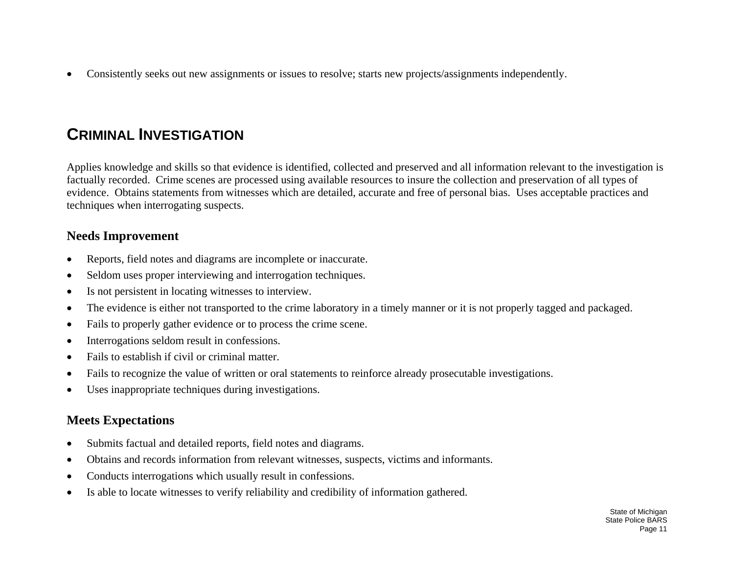•Consistently seeks out new assignments or issues to resolve; starts new projects/assignments independently.

### **CRIMINAL INVESTIGATION**

Applies knowledge and skills so that evidence is identified, collected and preserved and all information relevant to the investigation is factually recorded. Crime scenes are processed using available resources to insure the collection and preservation of all types of evidence. Obtains statements from witnesses which are detailed, accurate and free of personal bias. Uses acceptable practices and techniques when interrogating suspects.

#### **Needs Improvement**

- •Reports, field notes and diagrams are incomplete or inaccurate.
- •Seldom uses proper interviewing and interrogation techniques.
- •Is not persistent in locating witnesses to interview.
- •The evidence is either not transported to the crime laboratory in a timely manner or it is not properly tagged and packaged.
- •Fails to properly gather evidence or to process the crime scene.
- •Interrogations seldom result in confessions.
- •Fails to establish if civil or criminal matter.
- •Fails to recognize the value of written or oral statements to reinforce already prosecutable investigations.
- •Uses inappropriate techniques during investigations.

#### **Meets Expectations**

- $\bullet$ Submits factual and detailed reports, field notes and diagrams.
- •Obtains and records information from relevant witnesses, suspects, victims and informants.
- •Conducts interrogations which usually result in confessions.
- •Is able to locate witnesses to verify reliability and credibility of information gathered.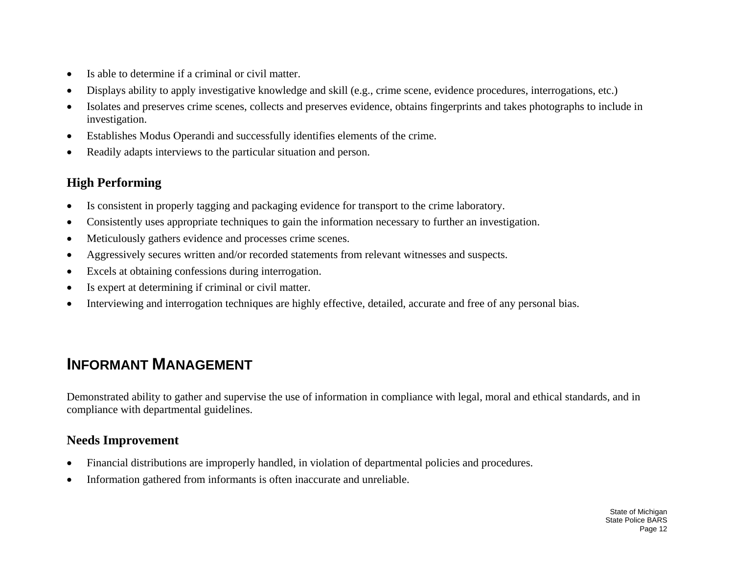- •Is able to determine if a criminal or civil matter.
- •Displays ability to apply investigative knowledge and skill (e.g., crime scene, evidence procedures, interrogations, etc.)
- • Isolates and preserves crime scenes, collects and preserves evidence, obtains fingerprints and takes photographs to include in investigation.
- •Establishes Modus <sup>O</sup>perandi and successfully identifies elements of the crime.
- •Readily adapts interviews to the particular situation and person.

### **High Performing**

- •Is consistent in properly tagging and packaging evidence for transport to the crime laboratory.
- •Consistently uses appropriate techniques to gain the information necessary to further an investigation.
- •Meticulously gathers evidence and processes crime scenes.
- •Aggressively secures written and/or recorded statements from relevant witnesses and suspects.
- •Excels at obtaining confessions during interrogation.
- •Is expert at determining if criminal or civil matter.
- •Interviewing and interrogation techniques are highly effective, detailed, accurate and free of any personal bias.

# **INFORMANT MANAGEMENT**

Demonstrated ability to gather and supervise the use of information in compliance with legal, moral and ethical standards, and in compliance with departmental guidelines.

#### **Needs Improvement**

- •Financial distributions are improperly handled, in violation of departmental policies and procedures.
- •Information gathered from informants is often inaccurate and unreliable.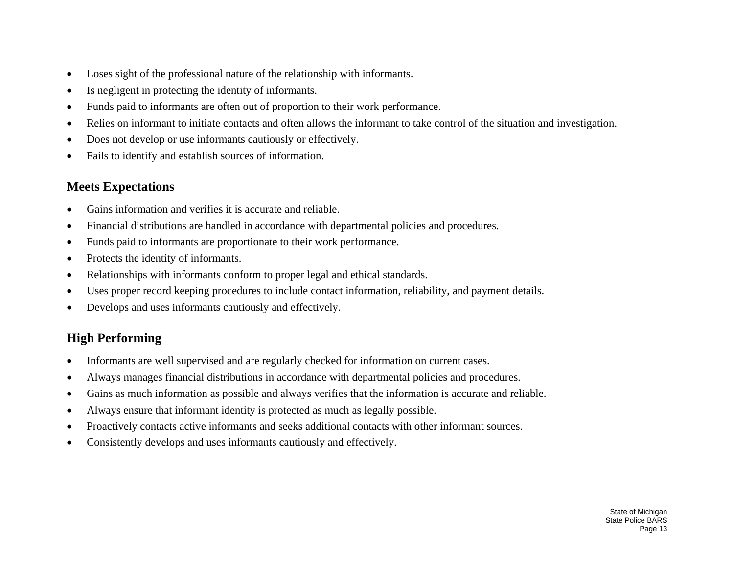- •Loses sight of the professional nature of the relationship with informants.
- •Is negligent in protecting the identity of informants.
- •Funds paid to informants are often out of proportion to their work performance.
- •Relies on informant to initiate contacts and often allows the informant to take control of the situation and investigation.
- •Does not develop or use informants cautiously or effectively.
- •Fails to identify and establish sources of information.

#### **Meets Expectations**

- •Gains information and verifies it is accurate and reliable.
- •Financial distributions are handled in accordance with departmental policies and procedures.
- •Funds paid to informants are proportionate to their work performance.
- •Protects the identity of informants.
- •Relationships with informants conform to proper legal and ethical standards.
- •Uses proper record keeping procedures to include contact information, reliability, and payment details.
- •Develops and uses informants cautiously and effectively.

- •Informants are well supervised and are regularly checked for information on current cases.
- •Always manages financial distributions in accordance with departmental policies and procedures.
- •Gains as much information as possible and always verifies that the information is accurate and reliable.
- •Always ensure that informant identity is protected as much as legally possible.
- •Proactively contacts active informants and seeks additional contacts with other informant sources.
- •Consistently develops and uses informants cautiously and effectively.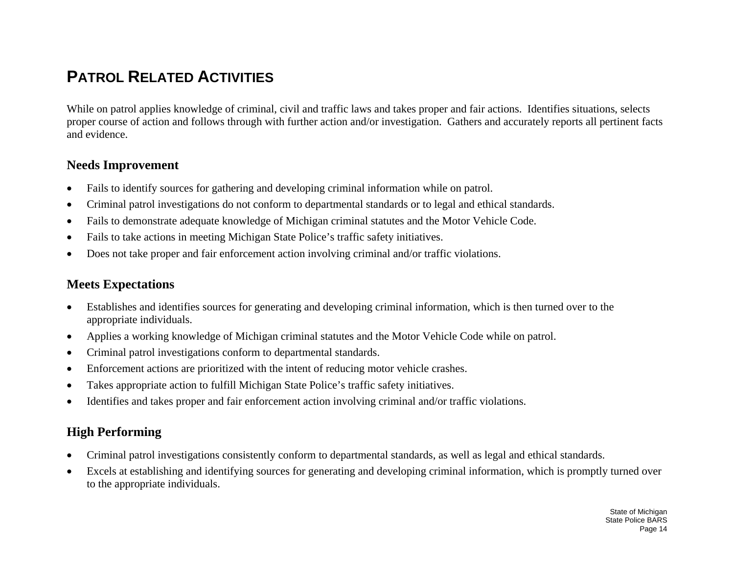## **PATROL RELATED ACTIVITIES**

While on patrol applies knowledge of criminal, civil and traffic laws and takes proper and fair actions. Identifies situations, selects proper course of action and follows through with further action and/or investigation. Gathers and accurately reports all pertinent facts and evidence.

#### **Needs Improvement**

- •Fails to identify sources for gathering and developing criminal information while on patrol.
- •Criminal patrol investigations do not conform to departmental standards or to legal and ethical standards.
- •Fails to demonstrate adequate knowledge of Michigan criminal statutes and the Motor Vehicle Code.
- •Fails to take actions in meeting Michigan State Police's traffic safety initiatives.
- •Does not take proper and fair enforcement action involving criminal and/or traffic violations.

#### **Meets Expectations**

- • Establishes and identifies sources for generating and developing criminal information, which is then turned over to the appropriate individuals.
- •Applies a working knowledge of Michigan criminal statutes and the Motor Vehicle Code while on patrol.
- •Criminal patrol investigations conform to departmental standards.
- •Enforcement actions are prioritized with the intent of reducing motor vehicle crashes.
- •Takes appropriate action to fulfill Michigan State Police's traffic safety initiatives.
- •Identifies and takes proper and fair enforcement action involving criminal and/or traffic violations.

- •Criminal patrol investigations consistently conform to departmental standards, as well as legal and ethical standards.
- • Excels at establishing and identifying sources for generating and developing criminal information, which is promptly turned over to the appropriate individuals.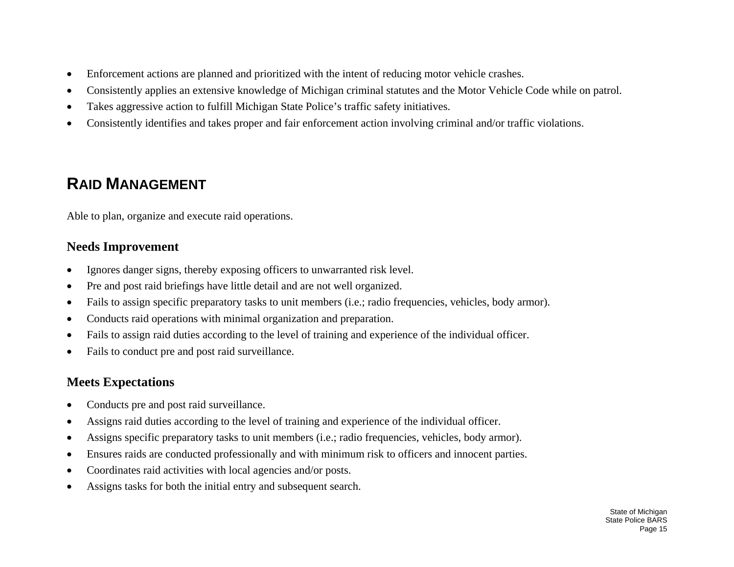- •Enforcement actions are planned and prioritized with the intent of reducing motor vehicle crashes.
- •Consistently applies an extensive knowledge of Michigan criminal statutes and the Motor Vehicle Code while on patrol.
- •Takes aggressive action to fulfill Michigan State Police's traffic safety initiatives.
- •Consistently identifies and takes proper and fair enforcement action involving criminal and/or traffic violations.

# **RAID MANAGEMENT**

Able to plan, organize and execute raid operations.

#### **Needs Improvement**

- •Ignores danger signs, thereby exposing officers to unwarranted risk level.
- •Pre and post raid briefings have little detail and are not well organized.
- •Fails to assign specific preparatory tasks to unit members (i.e.; radio frequencies, vehicles, body armor).
- •Conducts raid operations with minimal organization and preparation.
- •Fails to assign raid duties according to the level of training and experience of the individual officer.
- •Fails to conduct pre and post raid surveillance.

#### **Meets Expectations**

- •Conducts pre and post raid surveillance.
- •Assigns raid duties according to the level of training and experience of the individual officer.
- •Assigns specific preparatory tasks to unit members (i.e.; radio frequencies, vehicles, body armor).
- •Ensures raids are conducted professionally and with minimum risk to officers and innocent parties.
- •Coordinates raid activities with local agencies and/or posts.
- •Assigns tasks for both the initial entry and subsequent search.